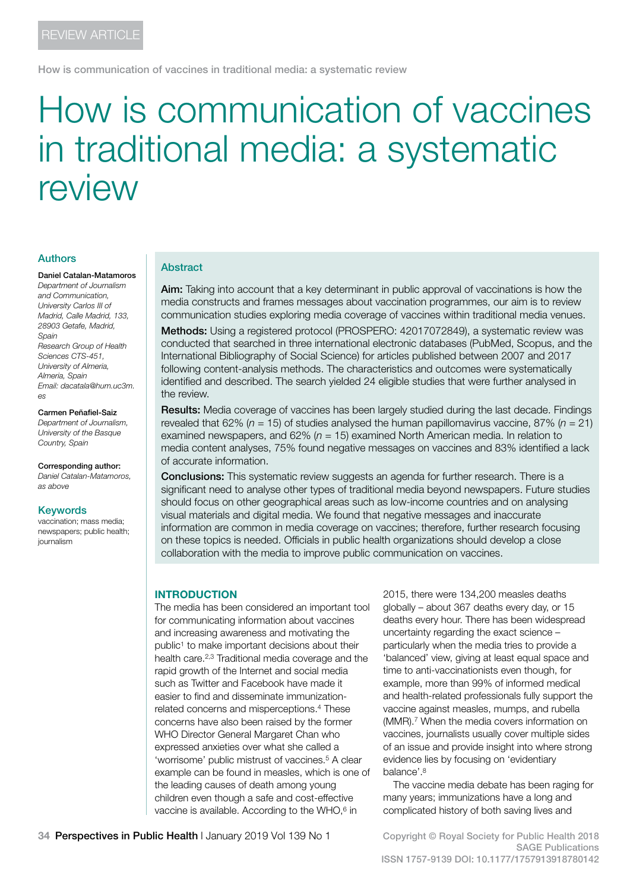# How is communication of vaccines in traditional media: a systematic review

## Authors

#### Daniel Catalan-Matamoros *Department of Journalism*

*and Communication, University Carlos III of Madrid, Calle Madrid, 133, 28903 Getafe, Madrid, Spain Research Group of Health Sciences CTS-451, University of Almeria, Almeria, Spain Email: dacatala@hum.uc3m. es*

Carmen Peñafiel-Saiz *Department of Journalism,* 

*University of the Basque Country, Spain*

Corresponding author: *Daniel Catalan-Matamoros, as above*

## Keywords

vaccination; mass media; newspapers; public health; journalism

# **Abstract**

Aim: Taking into account that a key determinant in public approval of vaccinations is how the media constructs and frames messages about vaccination programmes, our aim is to review communication studies exploring media coverage of vaccines within traditional media venues.

Methods: Using a registered protocol (PROSPERO: 42017072849), a systematic review was conducted that searched in three international electronic databases (PubMed, Scopus, and the International Bibliography of Social Science) for articles published between 2007 and 2017 following content-analysis methods. The characteristics and outcomes were systematically identified and described. The search yielded 24 eligible studies that were further analysed in the review.

Results: Media coverage of vaccines has been largely studied during the last decade. Findings revealed that  $62\%$  ( $n = 15$ ) of studies analysed the human papillomavirus vaccine,  $87\%$  ( $n = 21$ ) examined newspapers, and 62% (*n* = 15) examined North American media. In relation to media content analyses, 75% found negative messages on vaccines and 83% identified a lack of accurate information.

**Conclusions:** This systematic review suggests an agenda for further research. There is a significant need to analyse other types of traditional media beyond newspapers. Future studies should focus on other geographical areas such as low-income countries and on analysing visual materials and digital media. We found that negative messages and inaccurate information are common in media coverage on vaccines; therefore, further research focusing on these topics is needed. Officials in public health organizations should develop a close collaboration with the media to improve public communication on vaccines.

# **INTRODUCTION**

The media has been considered an important tool for communicating information about vaccines and increasing awareness and motivating the public1 to make important decisions about their health care.2,3 Traditional media coverage and the rapid growth of the Internet and social media such as Twitter and Facebook have made it easier to find and disseminate immunizationrelated concerns and misperceptions.4 These concerns have also been raised by the former WHO Director General Margaret Chan who expressed anxieties over what she called a 'worrisome' public mistrust of vaccines.5 A clear example can be found in measles, which is one of the leading causes of death among young children even though a safe and cost-effective vaccine is available. According to the WHO,<sup>6</sup> in

2015, there were 134,200 measles deaths globally – about 367 deaths every day, or 15 deaths every hour. There has been widespread uncertainty regarding the exact science – particularly when the media tries to provide a 'balanced' view, giving at least equal space and time to anti-vaccinationists even though, for example, more than 99% of informed medical and health-related professionals fully support the vaccine against measles, mumps, and rubella (MMR).7 When the media covers information on vaccines, journalists usually cover multiple sides of an issue and provide insight into where strong evidence lies by focusing on 'evidentiary balance'.8

The vaccine media debate has been raging for many years; immunizations have a long and complicated history of both saving lives and

SAGE Publications ISSN 1757-9139 [DOI: 10.1177/1757913918780142](https://doi.org/10.1177/1757913918780142)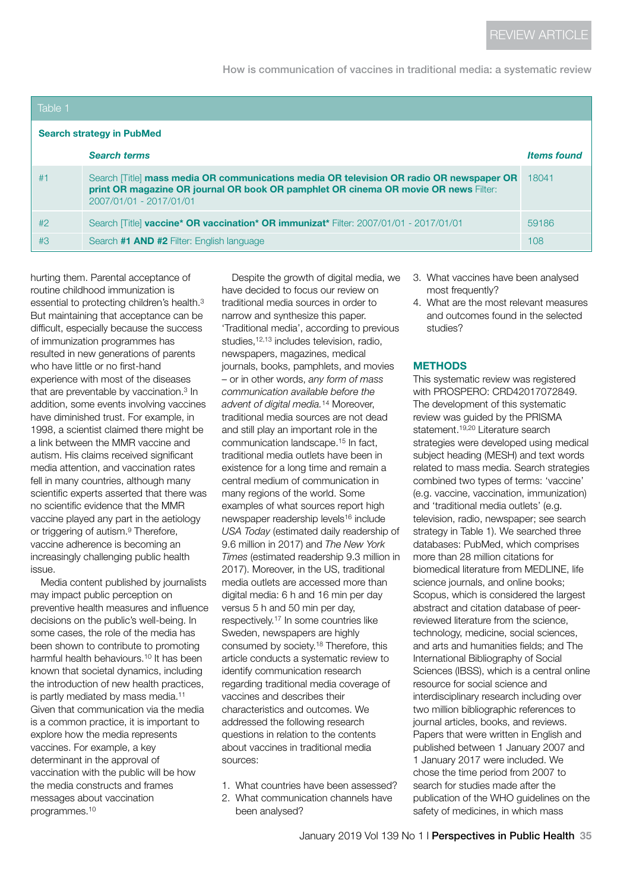| Table 1                          |                                                                                                                                                                                                          |                    |  |  |  |  |
|----------------------------------|----------------------------------------------------------------------------------------------------------------------------------------------------------------------------------------------------------|--------------------|--|--|--|--|
| <b>Search strategy in PubMed</b> |                                                                                                                                                                                                          |                    |  |  |  |  |
|                                  | <b>Search terms</b>                                                                                                                                                                                      | <b>Items found</b> |  |  |  |  |
| #1                               | Search Title mass media OR communications media OR television OR radio OR newspaper OR<br>print OR magazine OR journal OR book OR pamphlet OR cinema OR movie OR news Filter:<br>2007/01/01 - 2017/01/01 | 18041              |  |  |  |  |
| #2                               | Search Titlel vaccine* OR vaccination* OR immunizat* Filter: 2007/01/01 - 2017/01/01                                                                                                                     | 59186              |  |  |  |  |
| #3                               | Search #1 AND #2 Filter: English language                                                                                                                                                                | 108                |  |  |  |  |

hurting them. Parental acceptance of routine childhood immunization is essential to protecting children's health.3 But maintaining that acceptance can be difficult, especially because the success of immunization programmes has resulted in new generations of parents who have little or no first-hand experience with most of the diseases that are preventable by vaccination.3 In addition, some events involving vaccines have diminished trust. For example, in 1998, a scientist claimed there might be a link between the MMR vaccine and autism. His claims received significant media attention, and vaccination rates fell in many countries, although many scientific experts asserted that there was no scientific evidence that the MMR vaccine played any part in the aetiology or triggering of autism.<sup>9</sup> Therefore, vaccine adherence is becoming an increasingly challenging public health issue.

Media content published by journalists may impact public perception on preventive health measures and influence decisions on the public's well-being. In some cases, the role of the media has been shown to contribute to promoting harmful health behaviours.10 It has been known that societal dynamics, including the introduction of new health practices, is partly mediated by mass media.<sup>11</sup> Given that communication via the media is a common practice, it is important to explore how the media represents vaccines. For example, a key determinant in the approval of vaccination with the public will be how the media constructs and frames messages about vaccination programmes.10

Despite the growth of digital media, we have decided to focus our review on traditional media sources in order to narrow and synthesize this paper. 'Traditional media', according to previous studies,<sup>12,13</sup> includes television, radio, newspapers, magazines, medical journals, books, pamphlets, and movies – or in other words, *any form of mass communication available before the advent of digital media.*14 Moreover, traditional media sources are not dead and still play an important role in the communication landscape.15 In fact, traditional media outlets have been in existence for a long time and remain a central medium of communication in many regions of the world. Some examples of what sources report high newspaper readership levels<sup>16</sup> include *USA Today* (estimated daily readership of 9.6 million in 2017) and *The New York Times* (estimated readership 9.3 million in 2017). Moreover, in the US, traditional media outlets are accessed more than digital media: 6 h and 16 min per day versus 5 h and 50 min per day, respectively.17 In some countries like Sweden, newspapers are highly consumed by society.18 Therefore, this article conducts a systematic review to identify communication research regarding traditional media coverage of vaccines and describes their characteristics and outcomes. We addressed the following research questions in relation to the contents about vaccines in traditional media sources:

- 1. What countries have been assessed?
- 2. What communication channels have been analysed?
- 3. What vaccines have been analysed most frequently?
- 4. What are the most relevant measures and outcomes found in the selected studies?

## **METHODS**

This systematic review was registered with PROSPERO: CRD42017072849. The development of this systematic review was guided by the PRISMA statement.<sup>19,20</sup> Literature search strategies were developed using medical subject heading (MESH) and text words related to mass media. Search strategies combined two types of terms: 'vaccine' (e.g. vaccine, vaccination, immunization) and 'traditional media outlets' (e.g. television, radio, newspaper; see search strategy in Table 1). We searched three databases: PubMed, which comprises more than 28 million citations for biomedical literature from MEDLINE, life science journals, and online books; Scopus, which is considered the largest abstract and citation database of peerreviewed literature from the science, technology, medicine, social sciences, and arts and humanities fields; and The International Bibliography of Social Sciences (IBSS), which is a central online resource for social science and interdisciplinary research including over two million bibliographic references to journal articles, books, and reviews. Papers that were written in English and published between 1 January 2007 and 1 January 2017 were included. We chose the time period from 2007 to search for studies made after the publication of the WHO guidelines on the safety of medicines, in which mass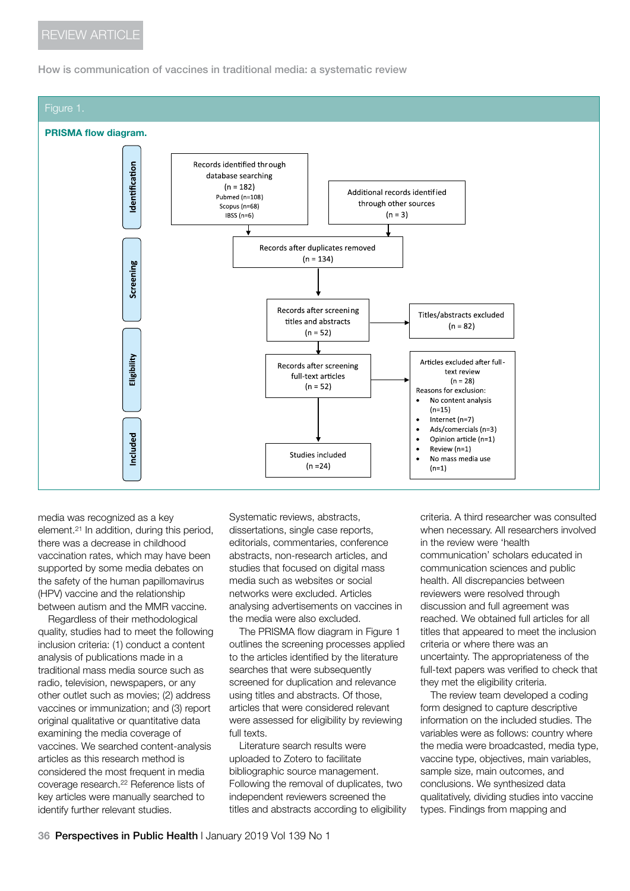

media was recognized as a key element.21 In addition, during this period, there was a decrease in childhood vaccination rates, which may have been supported by some media debates on the safety of the human papillomavirus (HPV) vaccine and the relationship between autism and the MMR vaccine.

Regardless of their methodological quality, studies had to meet the following inclusion criteria: (1) conduct a content analysis of publications made in a traditional mass media source such as radio, television, newspapers, or any other outlet such as movies; (2) address vaccines or immunization; and (3) report original qualitative or quantitative data examining the media coverage of vaccines. We searched content-analysis articles as this research method is considered the most frequent in media coverage research.22 Reference lists of key articles were manually searched to identify further relevant studies.

Systematic reviews, abstracts, dissertations, single case reports, editorials, commentaries, conference abstracts, non-research articles, and studies that focused on digital mass media such as websites or social networks were excluded. Articles analysing advertisements on vaccines in the media were also excluded.

The PRISMA flow diagram in Figure 1 outlines the screening processes applied to the articles identified by the literature searches that were subsequently screened for duplication and relevance using titles and abstracts. Of those, articles that were considered relevant were assessed for eligibility by reviewing full texts.

Literature search results were uploaded to Zotero to facilitate bibliographic source management. Following the removal of duplicates, two independent reviewers screened the titles and abstracts according to eligibility criteria. A third researcher was consulted when necessary. All researchers involved in the review were 'health communication' scholars educated in communication sciences and public health. All discrepancies between reviewers were resolved through discussion and full agreement was reached. We obtained full articles for all titles that appeared to meet the inclusion criteria or where there was an uncertainty. The appropriateness of the full-text papers was verified to check that they met the eligibility criteria.

The review team developed a coding form designed to capture descriptive information on the included studies. The variables were as follows: country where the media were broadcasted, media type, vaccine type, objectives, main variables, sample size, main outcomes, and conclusions. We synthesized data qualitatively, dividing studies into vaccine types. Findings from mapping and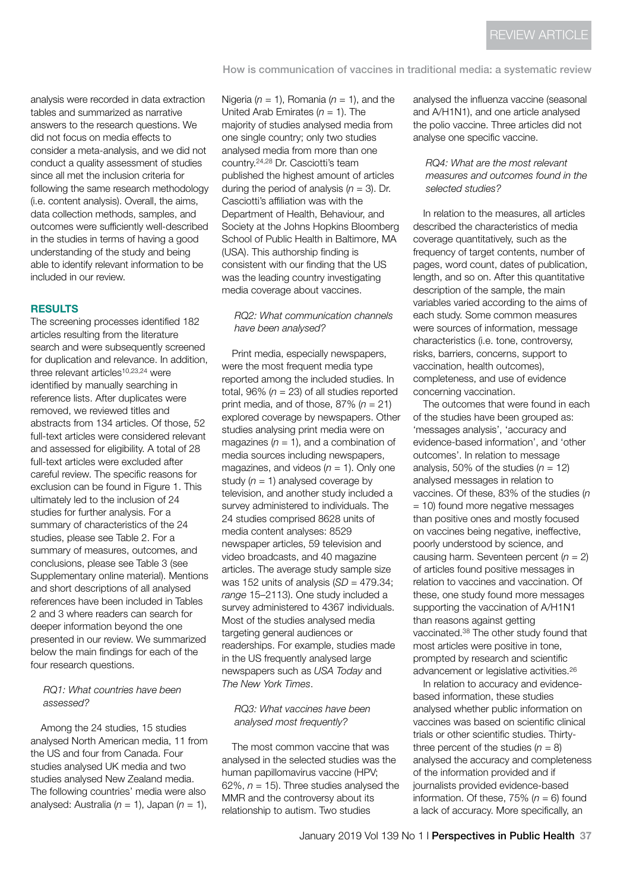analysis were recorded in data extraction tables and summarized as narrative answers to the research questions. We did not focus on media effects to consider a meta-analysis, and we did not conduct a quality assessment of studies since all met the inclusion criteria for following the same research methodology (i.e. content analysis). Overall, the aims, data collection methods, samples, and outcomes were sufficiently well-described in the studies in terms of having a good understanding of the study and being able to identify relevant information to be included in our review.

## **RESULTS**

The screening processes identified 182 articles resulting from the literature search and were subsequently screened for duplication and relevance. In addition, three relevant articles<sup>10,23,24</sup> were identified by manually searching in reference lists. After duplicates were removed, we reviewed titles and abstracts from 134 articles. Of those, 52 full-text articles were considered relevant and assessed for eligibility. A total of 28 full-text articles were excluded after careful review. The specific reasons for exclusion can be found in Figure 1. This ultimately led to the inclusion of 24 studies for further analysis. For a summary of characteristics of the 24 studies, please see Table 2. For a summary of measures, outcomes, and conclusions, please see Table 3 (see Supplementary online material). Mentions and short descriptions of all analysed references have been included in Tables 2 and 3 where readers can search for deeper information beyond the one presented in our review. We summarized below the main findings for each of the four research questions.

# *RQ1: What countries have been assessed?*

Among the 24 studies, 15 studies analysed North American media, 11 from the US and four from Canada. Four studies analysed UK media and two studies analysed New Zealand media. The following countries' media were also analysed: Australia (*n* = 1), Japan (*n* = 1),

Nigeria ( $n = 1$ ), Romania ( $n = 1$ ), and the United Arab Emirates (*n* = 1). The majority of studies analysed media from one single country; only two studies analysed media from more than one country.24,28 Dr. Casciotti's team published the highest amount of articles during the period of analysis (*n* = 3). Dr. Casciotti's affiliation was with the Department of Health, Behaviour, and Society at the Johns Hopkins Bloomberg School of Public Health in Baltimore, MA (USA). This authorship finding is consistent with our finding that the US was the leading country investigating media coverage about vaccines.

## *RQ2: What communication channels have been analysed?*

Print media, especially newspapers, were the most frequent media type reported among the included studies. In total,  $96\%$  ( $n = 23$ ) of all studies reported print media, and of those,  $87\%$  ( $n = 21$ ) explored coverage by newspapers. Other studies analysing print media were on magazines  $(n = 1)$ , and a combination of media sources including newspapers, magazines, and videos (*n* = 1). Only one study  $(n = 1)$  analysed coverage by television, and another study included a survey administered to individuals. The 24 studies comprised 8628 units of media content analyses: 8529 newspaper articles, 59 television and video broadcasts, and 40 magazine articles. The average study sample size was 152 units of analysis (*SD* = 479.34; *range* 15–2113). One study included a survey administered to 4367 individuals. Most of the studies analysed media targeting general audiences or readerships. For example, studies made in the US frequently analysed large newspapers such as *USA Today* and *The New York Times*.

## *RQ3: What vaccines have been analysed most frequently?*

The most common vaccine that was analysed in the selected studies was the human papillomavirus vaccine (HPV; 62%,  $n = 15$ ). Three studies analysed the MMR and the controversy about its relationship to autism. Two studies

analysed the influenza vaccine (seasonal and A/H1N1), and one article analysed the polio vaccine. Three articles did not analyse one specific vaccine.

# *RQ4: What are the most relevant measures and outcomes found in the selected studies?*

In relation to the measures, all articles described the characteristics of media coverage quantitatively, such as the frequency of target contents, number of pages, word count, dates of publication, length, and so on. After this quantitative description of the sample, the main variables varied according to the aims of each study. Some common measures were sources of information, message characteristics (i.e. tone, controversy, risks, barriers, concerns, support to vaccination, health outcomes), completeness, and use of evidence concerning vaccination.

The outcomes that were found in each of the studies have been grouped as: 'messages analysis', 'accuracy and evidence-based information', and 'other outcomes'. In relation to message analysis, 50% of the studies  $(n = 12)$ analysed messages in relation to vaccines. Of these, 83% of the studies (*n* = 10) found more negative messages than positive ones and mostly focused on vaccines being negative, ineffective, poorly understood by science, and causing harm. Seventeen percent (*n* = 2) of articles found positive messages in relation to vaccines and vaccination. Of these, one study found more messages supporting the vaccination of A/H1N1 than reasons against getting vaccinated.38 The other study found that most articles were positive in tone, prompted by research and scientific advancement or legislative activities.26

In relation to accuracy and evidencebased information, these studies analysed whether public information on vaccines was based on scientific clinical trials or other scientific studies. Thirtythree percent of the studies  $(n = 8)$ analysed the accuracy and completeness of the information provided and if journalists provided evidence-based information. Of these,  $75\%$  ( $n = 6$ ) found a lack of accuracy. More specifically, an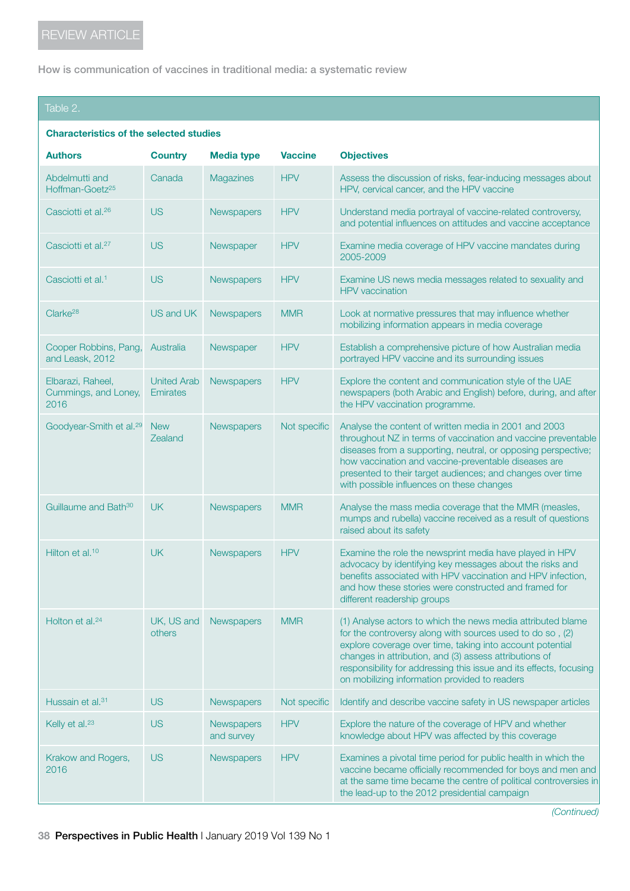# Table 2.

# Characteristics of the selected studies

| <b>Authors</b>                                    | <b>Country</b>                 | <b>Media type</b>               | <b>Vaccine</b> | <b>Objectives</b>                                                                                                                                                                                                                                                                                                                                                      |
|---------------------------------------------------|--------------------------------|---------------------------------|----------------|------------------------------------------------------------------------------------------------------------------------------------------------------------------------------------------------------------------------------------------------------------------------------------------------------------------------------------------------------------------------|
| Abdelmutti and<br>Hoffman-Goetz <sup>25</sup>     | Canada                         | Magazines                       | <b>HPV</b>     | Assess the discussion of risks, fear-inducing messages about<br>HPV, cervical cancer, and the HPV vaccine                                                                                                                                                                                                                                                              |
| Casciotti et al. <sup>26</sup>                    | <b>US</b>                      | <b>Newspapers</b>               | <b>HPV</b>     | Understand media portrayal of vaccine-related controversy,<br>and potential influences on attitudes and vaccine acceptance                                                                                                                                                                                                                                             |
| Casciotti et al. <sup>27</sup>                    | <b>US</b>                      | Newspaper                       | <b>HPV</b>     | Examine media coverage of HPV vaccine mandates during<br>2005-2009                                                                                                                                                                                                                                                                                                     |
| Casciotti et al. <sup>1</sup>                     | US                             | Newspapers                      | <b>HPV</b>     | Examine US news media messages related to sexuality and<br><b>HPV</b> vaccination                                                                                                                                                                                                                                                                                      |
| Clarke <sup>28</sup>                              | US and UK                      | Newspapers                      | <b>MMR</b>     | Look at normative pressures that may influence whether<br>mobilizing information appears in media coverage                                                                                                                                                                                                                                                             |
| Cooper Robbins, Pang,<br>and Leask, 2012          | Australia                      | Newspaper                       | <b>HPV</b>     | Establish a comprehensive picture of how Australian media<br>portrayed HPV vaccine and its surrounding issues                                                                                                                                                                                                                                                          |
| Elbarazi, Raheel,<br>Cummings, and Loney,<br>2016 | <b>United Arab</b><br>Emirates | Newspapers                      | <b>HPV</b>     | Explore the content and communication style of the UAE<br>newspapers (both Arabic and English) before, during, and after<br>the HPV vaccination programme.                                                                                                                                                                                                             |
| Goodyear-Smith et al. <sup>29</sup>               | <b>New</b><br>Zealand          | Newspapers                      | Not specific   | Analyse the content of written media in 2001 and 2003<br>throughout NZ in terms of vaccination and vaccine preventable<br>diseases from a supporting, neutral, or opposing perspective;<br>how vaccination and vaccine-preventable diseases are<br>presented to their target audiences; and changes over time<br>with possible influences on these changes             |
| Guillaume and Bath <sup>30</sup>                  | UK                             | <b>Newspapers</b>               | <b>MMR</b>     | Analyse the mass media coverage that the MMR (measles,<br>mumps and rubella) vaccine received as a result of questions<br>raised about its safety                                                                                                                                                                                                                      |
| Hilton et al. <sup>10</sup>                       | <b>UK</b>                      | Newspapers                      | <b>HPV</b>     | Examine the role the newsprint media have played in HPV<br>advocacy by identifying key messages about the risks and<br>benefits associated with HPV vaccination and HPV infection,<br>and how these stories were constructed and framed for<br>different readership groups                                                                                             |
| Holton et al. <sup>24</sup>                       | UK, US and<br>others           | Newspapers                      | <b>MMR</b>     | (1) Analyse actors to which the news media attributed blame<br>for the controversy along with sources used to do so, (2)<br>explore coverage over time, taking into account potential<br>changes in attribution, and (3) assess attributions of<br>responsibility for addressing this issue and its effects, focusing<br>on mobilizing information provided to readers |
| Hussain et al. <sup>31</sup>                      | <b>US</b>                      | <b>Newspapers</b>               | Not specific   | Identify and describe vaccine safety in US newspaper articles                                                                                                                                                                                                                                                                                                          |
| Kelly et al. <sup>23</sup>                        | <b>US</b>                      | <b>Newspapers</b><br>and survey | <b>HPV</b>     | Explore the nature of the coverage of HPV and whether<br>knowledge about HPV was affected by this coverage                                                                                                                                                                                                                                                             |
| Krakow and Rogers,<br>2016                        | <b>US</b>                      | Newspapers                      | <b>HPV</b>     | Examines a pivotal time period for public health in which the<br>vaccine became officially recommended for boys and men and<br>at the same time became the centre of political controversies in<br>the lead-up to the 2012 presidential campaign                                                                                                                       |

*(Continued)*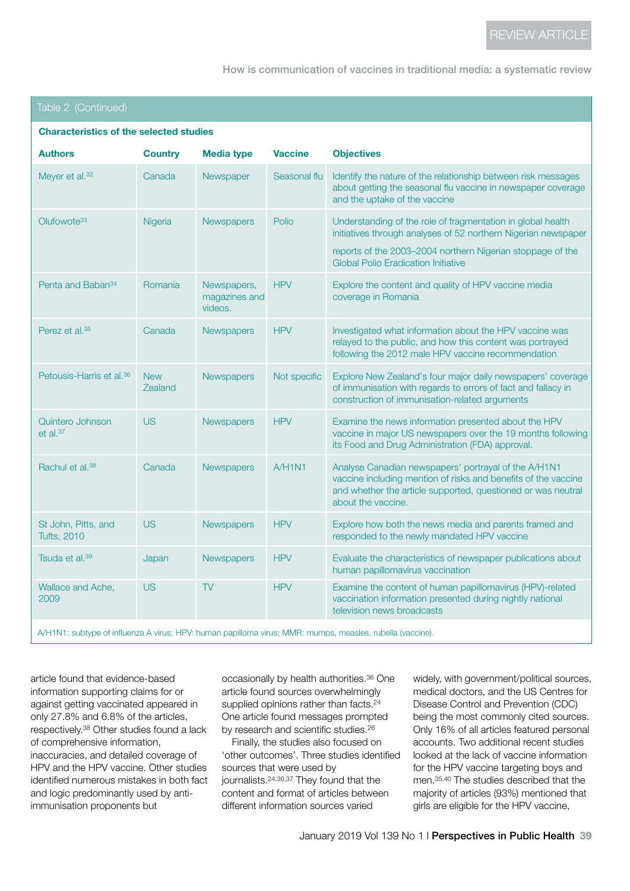| Table 2 (Continued)                                                                                   |                       |                                         |                |                                                                                                                                                                                                                                           |  |  |  |
|-------------------------------------------------------------------------------------------------------|-----------------------|-----------------------------------------|----------------|-------------------------------------------------------------------------------------------------------------------------------------------------------------------------------------------------------------------------------------------|--|--|--|
| <b>Characteristics of the selected studies</b>                                                        |                       |                                         |                |                                                                                                                                                                                                                                           |  |  |  |
| <b>Authors</b>                                                                                        | <b>Country</b>        | <b>Media type</b>                       | <b>Vaccine</b> | <b>Objectives</b>                                                                                                                                                                                                                         |  |  |  |
| Meyer et al. <sup>32</sup>                                                                            | Canada                | Newspaper                               | Seasonal flu   | Identify the nature of the relationship between risk messages<br>about getting the seasonal flu vaccine in newspaper coverage<br>and the uptake of the vaccine                                                                            |  |  |  |
| Olufowote <sup>33</sup>                                                                               | Nigeria               | <b>Newspapers</b>                       | Polio          | Understanding of the role of fragmentation in global health<br>initiatives through analyses of 52 northern Nigerian newspaper<br>reports of the 2003-2004 northern Nigerian stoppage of the<br><b>Global Polio Eradication Initiative</b> |  |  |  |
| Penta and Baban <sup>34</sup>                                                                         | Romania               | Newspapers,<br>magazines and<br>videos. | <b>HPV</b>     | Explore the content and quality of HPV vaccine media<br>coverage in Romania                                                                                                                                                               |  |  |  |
| Perez et al. <sup>35</sup>                                                                            | Canada                | Newspapers                              | <b>HPV</b>     | Investigated what information about the HPV vaccine was<br>relayed to the public, and how this content was portrayed<br>following the 2012 male HPV vaccine recommendation                                                                |  |  |  |
| Petousis-Harris et al. <sup>36</sup>                                                                  | <b>New</b><br>Zealand | <b>Newspapers</b>                       | Not specific   | Explore New Zealand's four major daily newspapers' coverage<br>of immunisation with regards to errors of fact and fallacy in<br>construction of immunisation-related arguments                                                            |  |  |  |
| Quintero Johnson<br>et al. $37$                                                                       | <b>US</b>             | <b>Newspapers</b>                       | <b>HPV</b>     | Examine the news information presented about the HPV<br>vaccine in major US newspapers over the 19 months following<br>its Food and Drug Administration (FDA) approval.                                                                   |  |  |  |
| Rachul et al. <sup>38</sup>                                                                           | Canada                | <b>Newspapers</b>                       | A/H1N1         | Analyse Canadian newspapers' portrayal of the A/H1N1<br>vaccine including mention of risks and benefits of the vaccine<br>and whether the article supported, questioned or was neutral<br>about the vaccine.                              |  |  |  |
| St John, Pitts, and<br><b>Tufts, 2010</b>                                                             | <b>US</b>             | Newspapers                              | <b>HPV</b>     | Explore how both the news media and parents framed and<br>responded to the newly mandated HPV vaccine                                                                                                                                     |  |  |  |
| Tsuda et al. <sup>39</sup>                                                                            | Japan                 | <b>Newspapers</b>                       | <b>HPV</b>     | Evaluate the characteristics of newspaper publications about<br>human papillomavirus vaccination                                                                                                                                          |  |  |  |
| Wallace and Ache,<br>2009                                                                             | <b>US</b>             | <b>TV</b>                               | <b>HPV</b>     | Examine the content of human papillomavirus (HPV)-related<br>vaccination information presented during nightly national<br>television news broadcasts                                                                                      |  |  |  |
| A 4 HMJ culptum of influence A virus LIDV burner nonillame virus AAAD; mumes meadeo rubolle (voodine) |                       |                                         |                |                                                                                                                                                                                                                                           |  |  |  |

A/H1N1: subtype of influenza A virus; HPV: human papilloma virus; MMR: mumps, measles, rubella (vaccine).

article found that evidence-based information supporting claims for or against getting vaccinated appeared in only 27.8% and 6.8% of the articles, respectively.38 Other studies found a lack of comprehensive information, inaccuracies, and detailed coverage of HPV and the HPV vaccine. Other studies identified numerous mistakes in both fact and logic predominantly used by antiimmunisation proponents but

occasionally by health authorities.36 One article found sources overwhelmingly supplied opinions rather than facts.<sup>24</sup> One article found messages prompted by research and scientific studies.<sup>26</sup>

Finally, the studies also focused on 'other outcomes'. Three studies identified sources that were used by journalists.24,30,37 They found that the content and format of articles between different information sources varied

widely, with government/political sources, medical doctors, and the US Centres for Disease Control and Prevention (CDC) being the most commonly cited sources. Only 16% of all articles featured personal accounts. Two additional recent studies looked at the lack of vaccine information for the HPV vaccine targeting boys and men.35,40 The studies described that the majority of articles (93%) mentioned that girls are eligible for the HPV vaccine,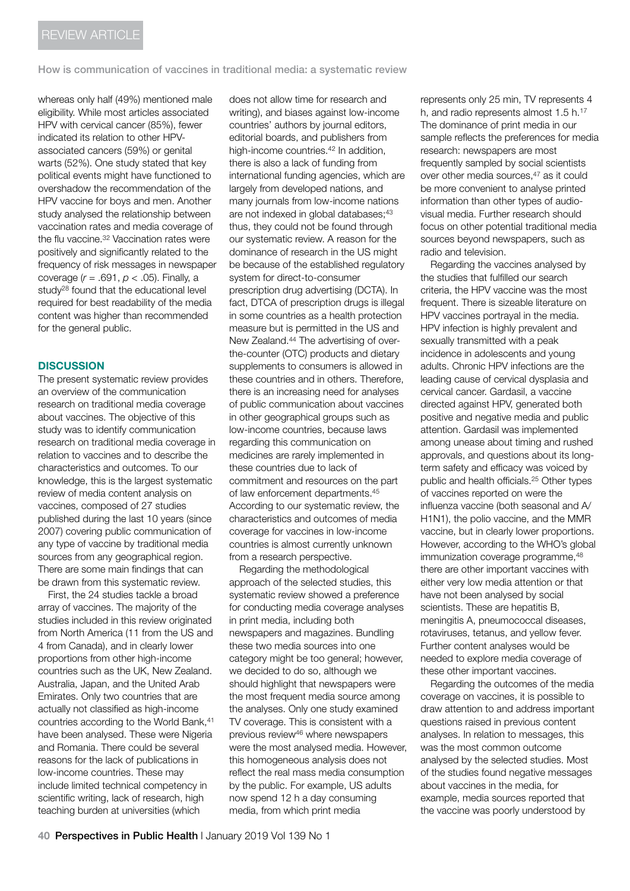whereas only half (49%) mentioned male eligibility. While most articles associated HPV with cervical cancer (85%), fewer indicated its relation to other HPVassociated cancers (59%) or genital warts (52%). One study stated that key political events might have functioned to overshadow the recommendation of the HPV vaccine for boys and men. Another study analysed the relationship between vaccination rates and media coverage of the flu vaccine.32 Vaccination rates were positively and significantly related to the frequency of risk messages in newspaper coverage (*r* = .691, *p* < .05). Finally, a study<sup>28</sup> found that the educational level required for best readability of the media content was higher than recommended for the general public.

## **DISCUSSION**

The present systematic review provides an overview of the communication research on traditional media coverage about vaccines. The objective of this study was to identify communication research on traditional media coverage in relation to vaccines and to describe the characteristics and outcomes. To our knowledge, this is the largest systematic review of media content analysis on vaccines, composed of 27 studies published during the last 10 years (since 2007) covering public communication of any type of vaccine by traditional media sources from any geographical region. There are some main findings that can be drawn from this systematic review.

First, the 24 studies tackle a broad array of vaccines. The majority of the studies included in this review originated from North America (11 from the US and 4 from Canada), and in clearly lower proportions from other high-income countries such as the UK, New Zealand. Australia, Japan, and the United Arab Emirates. Only two countries that are actually not classified as high-income countries according to the World Bank.<sup>41</sup> have been analysed. These were Nigeria and Romania. There could be several reasons for the lack of publications in low-income countries. These may include limited technical competency in scientific writing, lack of research, high teaching burden at universities (which

does not allow time for research and writing), and biases against low-income countries' authors by journal editors, editorial boards, and publishers from high-income countries.42 In addition, there is also a lack of funding from international funding agencies, which are largely from developed nations, and many journals from low-income nations are not indexed in global databases;<sup>43</sup> thus, they could not be found through our systematic review. A reason for the dominance of research in the US might be because of the established regulatory system for direct-to-consumer prescription drug advertising (DCTA). In fact, DTCA of prescription drugs is illegal in some countries as a health protection measure but is permitted in the US and New Zealand.44 The advertising of overthe-counter (OTC) products and dietary supplements to consumers is allowed in these countries and in others. Therefore, there is an increasing need for analyses of public communication about vaccines in other geographical groups such as low-income countries, because laws regarding this communication on medicines are rarely implemented in these countries due to lack of commitment and resources on the part of law enforcement departments.45 According to our systematic review, the characteristics and outcomes of media coverage for vaccines in low-income countries is almost currently unknown from a research perspective.

Regarding the methodological approach of the selected studies, this systematic review showed a preference for conducting media coverage analyses in print media, including both newspapers and magazines. Bundling these two media sources into one category might be too general; however, we decided to do so, although we should highlight that newspapers were the most frequent media source among the analyses. Only one study examined TV coverage. This is consistent with a previous review46 where newspapers were the most analysed media. However, this homogeneous analysis does not reflect the real mass media consumption by the public. For example, US adults now spend 12 h a day consuming media, from which print media

represents only 25 min, TV represents 4 h, and radio represents almost 1.5 h.<sup>17</sup> The dominance of print media in our sample reflects the preferences for media research: newspapers are most frequently sampled by social scientists over other media sources,47 as it could be more convenient to analyse printed information than other types of audiovisual media. Further research should focus on other potential traditional media sources beyond newspapers, such as radio and television.

Regarding the vaccines analysed by the studies that fulfilled our search criteria, the HPV vaccine was the most frequent. There is sizeable literature on HPV vaccines portrayal in the media. HPV infection is highly prevalent and sexually transmitted with a peak incidence in adolescents and young adults. Chronic HPV infections are the leading cause of cervical dysplasia and cervical cancer. Gardasil, a vaccine directed against HPV, generated both positive and negative media and public attention. Gardasil was implemented among unease about timing and rushed approvals, and questions about its longterm safety and efficacy was voiced by public and health officials.25 Other types of vaccines reported on were the influenza vaccine (both seasonal and A/ H1N1), the polio vaccine, and the MMR vaccine, but in clearly lower proportions. However, according to the WHO's global immunization coverage programme, 48 there are other important vaccines with either very low media attention or that have not been analysed by social scientists. These are hepatitis B, meningitis A, pneumococcal diseases, rotaviruses, tetanus, and yellow fever. Further content analyses would be needed to explore media coverage of these other important vaccines.

Regarding the outcomes of the media coverage on vaccines, it is possible to draw attention to and address important questions raised in previous content analyses. In relation to messages, this was the most common outcome analysed by the selected studies. Most of the studies found negative messages about vaccines in the media, for example, media sources reported that the vaccine was poorly understood by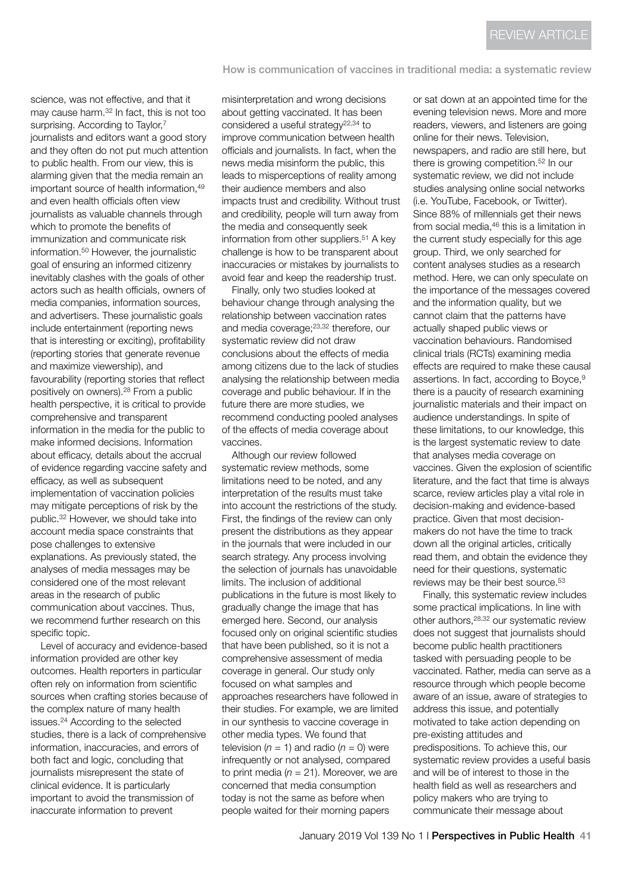science, was not effective, and that it may cause harm.32 In fact, this is not too surprising. According to Taylor,<sup>7</sup> journalists and editors want a good story and they often do not put much attention to public health. From our view, this is alarming given that the media remain an important source of health information,49 and even health officials often view journalists as valuable channels through which to promote the benefits of immunization and communicate risk information.50 However, the journalistic goal of ensuring an informed citizenry inevitably clashes with the goals of other actors such as health officials, owners of media companies, information sources, and advertisers. These journalistic goals include entertainment (reporting news that is interesting or exciting), profitability (reporting stories that generate revenue and maximize viewership), and favourability (reporting stories that reflect positively on owners).28 From a public health perspective, it is critical to provide comprehensive and transparent information in the media for the public to make informed decisions. Information about efficacy, details about the accrual of evidence regarding vaccine safety and efficacy, as well as subsequent implementation of vaccination policies may mitigate perceptions of risk by the public.32 However, we should take into account media space constraints that pose challenges to extensive explanations. As previously stated, the analyses of media messages may be considered one of the most relevant areas in the research of public communication about vaccines. Thus, we recommend further research on this specific topic.

Level of accuracy and evidence-based information provided are other key outcomes. Health reporters in particular often rely on information from scientific sources when crafting stories because of the complex nature of many health issues.24 According to the selected studies, there is a lack of comprehensive information, inaccuracies, and errors of both fact and logic, concluding that journalists misrepresent the state of clinical evidence. It is particularly important to avoid the transmission of inaccurate information to prevent

misinterpretation and wrong decisions about getting vaccinated. It has been considered a useful strategy22,34 to improve communication between health officials and journalists. In fact, when the news media misinform the public, this leads to misperceptions of reality among their audience members and also impacts trust and credibility. Without trust and credibility, people will turn away from the media and consequently seek information from other suppliers.<sup>51</sup> A key challenge is how to be transparent about inaccuracies or mistakes by journalists to avoid fear and keep the readership trust.

Finally, only two studies looked at behaviour change through analysing the relationship between vaccination rates and media coverage;<sup>23,32</sup> therefore, our systematic review did not draw conclusions about the effects of media among citizens due to the lack of studies analysing the relationship between media coverage and public behaviour. If in the future there are more studies, we recommend conducting pooled analyses of the effects of media coverage about vaccines.

Although our review followed systematic review methods, some limitations need to be noted, and any interpretation of the results must take into account the restrictions of the study. First, the findings of the review can only present the distributions as they appear in the journals that were included in our search strategy. Any process involving the selection of journals has unavoidable limits. The inclusion of additional publications in the future is most likely to gradually change the image that has emerged here. Second, our analysis focused only on original scientific studies that have been published, so it is not a comprehensive assessment of media coverage in general. Our study only focused on what samples and approaches researchers have followed in their studies. For example, we are limited in our synthesis to vaccine coverage in other media types. We found that television ( $n = 1$ ) and radio ( $n = 0$ ) were infrequently or not analysed, compared to print media (*n* = 21). Moreover, we are concerned that media consumption today is not the same as before when people waited for their morning papers

or sat down at an appointed time for the evening television news. More and more readers, viewers, and listeners are going online for their news. Television, newspapers, and radio are still here, but there is growing competition.52 In our systematic review, we did not include studies analysing online social networks (i.e. YouTube, Facebook, or Twitter). Since 88% of millennials get their news from social media,<sup>46</sup> this is a limitation in the current study especially for this age group. Third, we only searched for content analyses studies as a research method. Here, we can only speculate on the importance of the messages covered and the information quality, but we cannot claim that the patterns have actually shaped public views or vaccination behaviours. Randomised clinical trials (RCTs) examining media effects are required to make these causal assertions. In fact, according to Boyce, 9 there is a paucity of research examining journalistic materials and their impact on audience understandings. In spite of these limitations, to our knowledge, this is the largest systematic review to date that analyses media coverage on vaccines. Given the explosion of scientific literature, and the fact that time is always scarce, review articles play a vital role in decision-making and evidence-based practice. Given that most decisionmakers do not have the time to track down all the original articles, critically read them, and obtain the evidence they need for their questions, systematic reviews may be their best source.<sup>53</sup>

Finally, this systematic review includes some practical implications. In line with other authors,28,32 our systematic review does not suggest that journalists should become public health practitioners tasked with persuading people to be vaccinated. Rather, media can serve as a resource through which people become aware of an issue, aware of strategies to address this issue, and potentially motivated to take action depending on pre-existing attitudes and predispositions. To achieve this, our systematic review provides a useful basis and will be of interest to those in the health field as well as researchers and policy makers who are trying to communicate their message about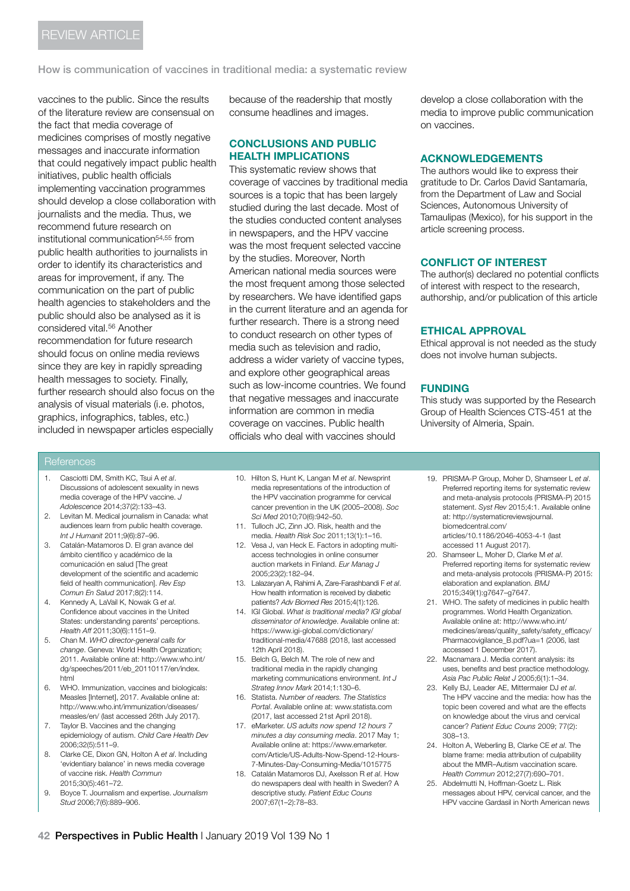vaccines to the public. Since the results of the literature review are consensual on the fact that media coverage of medicines comprises of mostly negative messages and inaccurate information that could negatively impact public health initiatives, public health officials implementing vaccination programmes should develop a close collaboration with journalists and the media. Thus, we recommend future research on institutional communication54,55 from public health authorities to journalists in order to identify its characteristics and areas for improvement, if any. The communication on the part of public health agencies to stakeholders and the public should also be analysed as it is considered vital.56 Another recommendation for future research should focus on online media reviews since they are key in rapidly spreading health messages to society. Finally, further research should also focus on the analysis of visual materials (i.e. photos, graphics, infographics, tables, etc.) included in newspaper articles especially

because of the readership that mostly consume headlines and images.

# Conclusions And Public Health Implications

This systematic review shows that coverage of vaccines by traditional media sources is a topic that has been largely studied during the last decade. Most of the studies conducted content analyses in newspapers, and the HPV vaccine was the most frequent selected vaccine by the studies. Moreover, North American national media sources were the most frequent among those selected by researchers. We have identified gaps in the current literature and an agenda for further research. There is a strong need to conduct research on other types of media such as television and radio, address a wider variety of vaccine types, and explore other geographical areas such as low-income countries. We found that negative messages and inaccurate information are common in media coverage on vaccines. Public health officials who deal with vaccines should

develop a close collaboration with the media to improve public communication on vaccines.

# Acknowledgements

The authors would like to express their gratitude to Dr. Carlos David Santamaría, from the Department of Law and Social Sciences, Autonomous University of Tamaulipas (Mexico), for his support in the article screening process.

# Conflict Of Interest

The author(s) declared no potential conflicts of interest with respect to the research, authorship, and/or publication of this article

## Ethical Approval

Ethical approval is not needed as the study does not involve human subjects.

## **FUNDING**

This study was supported by the Research Group of Health Sciences CTS-451 at the University of Almeria, Spain.

# **References**

- 1. Casciotti DM, Smith KC, Tsui A *et al*. Discussions of adolescent sexuality in news media coverage of the HPV vaccine. *J Adolescence* 2014;37(2):133–43.
- 2. Levitan M. Medical journalism in Canada: what audiences learn from public health coverage. *Int J Humanit* 2011;9(6):87–96.
- 3. Catalán-Matamoros D. El gran avance del ámbito científico y académico de la comunicación en salud [The great development of the scientific and academic field of health communication]. *Rev Esp Comun En Salud* 2017;8(2):114.
- 4. Kennedy A, LaVail K, Nowak G *et al*. Confidence about vaccines in the United States: understanding parents' perceptions. *Health Aff* 2011;30(6):1151–9.
- 5. Chan M. *WHO director-general calls for change*. Geneva: World Health Organization; 2011. Available online at: http://www.who.int/ dg/speeches/2011/eb\_20110117/en/index. html
- 6. WHO. Immunization, vaccines and biologicals: Measles [Internet], 2017. Available online at: http://www.who.int/immunization/diseases/ measles/en/ (last accessed 26th July 2017).
- 7. Taylor B. Vaccines and the changing epidemiology of autism. *Child Care Health Dev* 2006;32(5):511–9.
- 8. Clarke CE, Dixon GN, Holton A *et al*. Including 'evidentiary balance' in news media coverage of vaccine risk. *Health Commun* 2015;30(5):461–72.
- 9. Boyce T. Journalism and expertise. *Journalism Stud* 2006;7(6):889–906.
- 10. Hilton S, Hunt K, Langan M *et al*. Newsprint media representations of the introduction of the HPV vaccination programme for cervical cancer prevention in the UK (2005–2008). *Soc Sci Med* 2010;70(6):942–50.
- 11. Tulloch JC, Zinn JO. Risk, health and the media. *Health Risk Soc* 2011;13(1):1–16.
- 12. Vesa J, van Heck E. Factors in adopting multiaccess technologies in online consumer auction markets in Finland. *Eur Manag J* 2005;23(2):182–94.
- 13. Lalazaryan A, Rahimi A, Zare-Farashbandi F *et al*. How health information is received by diabetic patients? *Adv Biomed Res* 2015;4(1):126.
- 14. IGI Global. *What is traditional media? IGI global disseminator of knowledge*. Available online at: https://www.igi-global.com/dictionary/ traditional-media/47688 (2018, last accessed 12th April 2018).
- 15. Belch G, Belch M. The role of new and traditional media in the rapidly changing marketing communications environment. *Int J Strateg Innov Mark* 2014;1:130–6.
- 16. Statista. *Number of readers. The Statistics Portal*. Available online at: www.statista.com (2017, last accessed 21st April 2018).
- 17. eMarketer. *US adults now spend 12 hours 7 minutes a day consuming media*. 2017 May 1; Available online at: https://www.emarketer. com/Article/US-Adults-Now-Spend-12-Hours-7-Minutes-Day-Consuming-Media/1015775
- 18. Catalán Matamoros DJ, Axelsson R *et al*. How do newspapers deal with health in Sweden? A descriptive study. *Patient Educ Couns* 2007;67(1–2):78–83.
- 19. PRISMA-P Group, Moher D, Shamseer L *et al*. Preferred reporting items for systematic review and meta-analysis protocols (PRISMA-P) 2015 statement. *Syst Rev* 2015;4:1. Available online at: http://systematicreviewsjournal. biomedcentral.com/ articles/10.1186/2046-4053-4-1 (last
- accessed 11 August 2017).
- 20. Shamseer L, Moher D, Clarke M *et al*. Preferred reporting items for systematic review and meta-analysis protocols (PRISMA-P) 2015: elaboration and explanation. *BMJ* 2015;349(1):g7647–g7647.
- 21. WHO. The safety of medicines in public health programmes. World Health Organization. Available online at: http://www.who.int/ medicines/areas/quality\_safety/safety\_efficacy/ Pharmacovigilance\_B.pdf?ua=1 (2006, last accessed 1 December 2017).
- 22. Macnamara J. Media content analysis: its uses, benefits and best practice methodology. *Asia Pac Public Relat J* 2005;6(1):1–34.
- 23. Kelly BJ, Leader AE, Mittermaier DJ *et al*. The HPV vaccine and the media: how has the topic been covered and what are the effects on knowledge about the virus and cervical cancer? *Patient Educ Couns* 2009; 77(2): 308–13.
- 24. Holton A, Weberling B, Clarke CE *et al*. The blame frame: media attribution of culpability about the MMR–Autism vaccination scare. *Health Commun* 2012;27(7):690–701.
- 25. Abdelmutti N, Hoffman-Goetz L. Risk messages about HPV, cervical cancer, and the HPV vaccine Gardasil in North American news